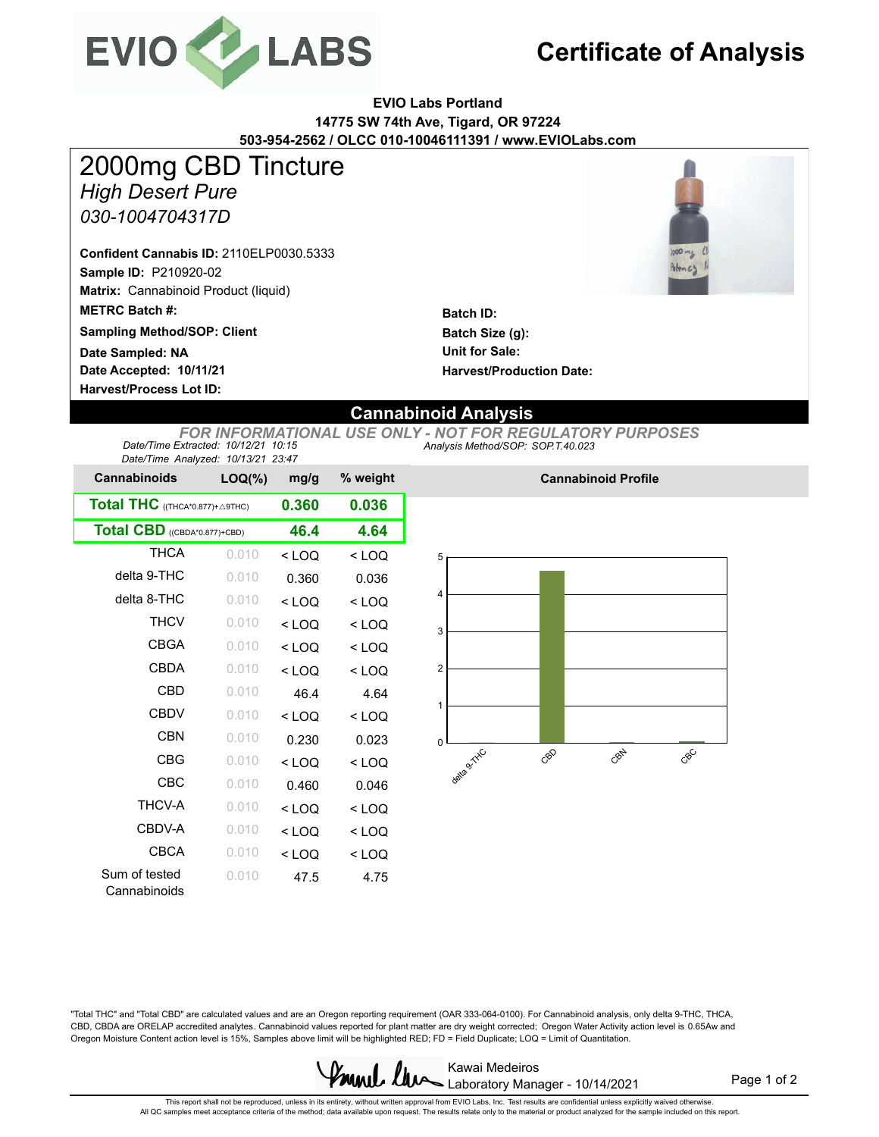

# **Certificate of Analysis**

### **EVIO Labs Portland 14775 SW 74th Ave, Tigard, OR 97224 503-954-2562 / OLCC 010-10046111391 / www.EVIOLabs.com**

*High Desert Pure* **Sample ID:** P210920-02 **Matrix:** Cannabinoid Product (liquid) **Date Accepted: 10/11/21 METRC Batch #:**  *030-1004704317D* **Batch ID: Batch Size (g): Harvest/Process Lot ID: Unit for Sale: Sampling Method/SOP: Client Harvest/Production Date: Confident Cannabis ID:** 2110ELP0030.5333 2000mg CBD Tincture **Date Sampled: NA**



## **Cannabinoid Analysis**

*Analysis Method/SOP: SOP.T.40.023 FOR INFORMATIONAL USE ONLY - NOT FOR REGULATORY PURPOSES Date/Time Extracted: 10/12/21 10:15 Date/Time Analyzed: 10/13/21 23:47*

| <b>Cannabinoids</b>             | $LOQ(\%)$ | mg/g    | % weight |  |
|---------------------------------|-----------|---------|----------|--|
| Total THC ((THCA*0.877)+ A9THC) | 0.360     | 0.036   |          |  |
| Total CBD ((CBDA*0.877)+CBD)    | 46.4      | 4.64    |          |  |
| <b>THCA</b>                     | 0.010     | $<$ LOQ | $<$ LOQ  |  |
| delta 9-THC                     | 0.010     | 0.360   | 0.036    |  |
| delta 8-THC                     | 0.010     | $<$ LOQ | $<$ LOQ  |  |
| <b>THCV</b>                     | 0.010     | $<$ LOQ | $<$ LOQ  |  |
| <b>CBGA</b>                     | 0.010     | $<$ LOQ | $<$ LOQ  |  |
| <b>CBDA</b>                     | 0.010     | $<$ LOQ | $<$ LOQ  |  |
| CBD                             | 0.010     | 46.4    | 4.64     |  |
| <b>CBDV</b>                     | 0.010     | $<$ LOQ | $<$ LOQ  |  |
| <b>CBN</b>                      | 0.010     | 0.230   | 0.023    |  |
| <b>CBG</b>                      | 0.010     | $<$ LOQ | $<$ LOQ  |  |
| CBC                             | 0.010     | 0.460   | 0.046    |  |
| THCV-A                          | 0.010     | $<$ LOQ | $<$ LOQ  |  |
| CBDV-A                          | 0.010     | $<$ LOQ | $<$ LOQ  |  |
| <b>CBCA</b>                     | 0.010     | $<$ LOQ | $<$ LOQ  |  |
| Sum of tested<br>Cannabinoids   | 0.010     | 47.5    | 4.75     |  |



**Cannabinoid Profile**

"Total THC" and "Total CBD" are calculated values and are an Oregon reporting requirement (OAR 333-064-0100). For Cannabinoid analysis, only delta 9-THC, THCA, CBD, CBDA are ORELAP accredited analytes. Cannabinoid values reported for plant matter are dry weight corrected; Oregon Water Activity action level is 0.65Aw and Oregon Moisture Content action level is 15%, Samples above limit will be highlighted RED; FD = Field Duplicate; LOQ = Limit of Quantitation.



Page 1 of 2

This report shall not be reproduced, unless in its entirety, without written approval from EVIO Labs, Inc. Test results are confidential unless explicitly waived otherwise.<br>All QC samples meet acceptance criteria of the me